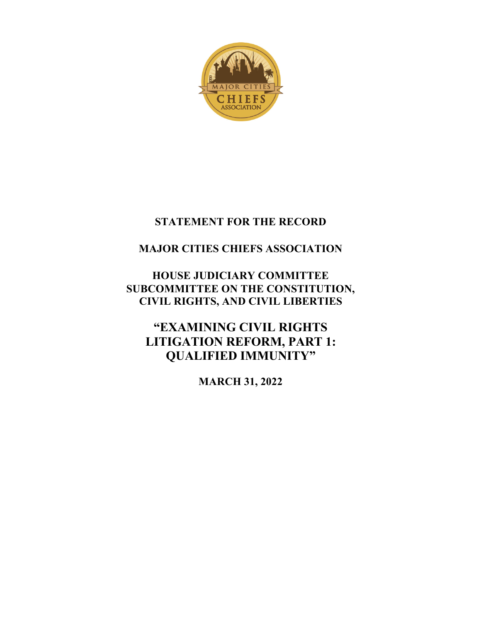

# **STATEMENT FOR THE RECORD**

# **MAJOR CITIES CHIEFS ASSOCIATION**

# **HOUSE JUDICIARY COMMITTEE SUBCOMMITTEE ON THE CONSTITUTION, CIVIL RIGHTS, AND CIVIL LIBERTIES**

**"EXAMINING CIVIL RIGHTS LITIGATION REFORM, PART 1: QUALIFIED IMMUNITY"**

**MARCH 31, 2022**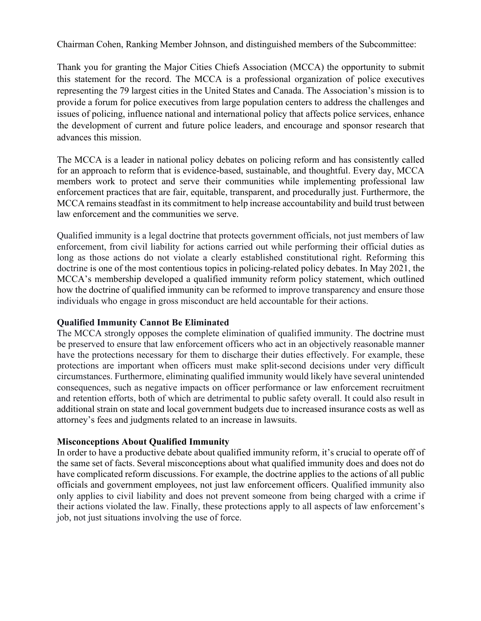Chairman Cohen, Ranking Member Johnson, and distinguished members of the Subcommittee:

Thank you for granting the Major Cities Chiefs Association (MCCA) the opportunity to submit this statement for the record. The MCCA is a professional organization of police executives representing the 79 largest cities in the United States and Canada. The Association's mission is to provide a forum for police executives from large population centers to address the challenges and issues of policing, influence national and international policy that affects police services, enhance the development of current and future police leaders, and encourage and sponsor research that advances this mission.

The MCCA is a leader in national policy debates on policing reform and has consistently called for an approach to reform that is evidence-based, sustainable, and thoughtful. Every day, MCCA members work to protect and serve their communities while implementing professional law enforcement practices that are fair, equitable, transparent, and procedurally just. Furthermore, the MCCA remains steadfast in its commitment to help increase accountability and build trust between law enforcement and the communities we serve.

Qualified immunity is a legal doctrine that protects government officials, not just members of law enforcement, from civil liability for actions carried out while performing their official duties as long as those actions do not violate a clearly established constitutional right. Reforming this doctrine is one of the most contentious topics in policing-related policy debates. In May 2021, the MCCA's membership developed a qualified immunity reform policy statement, which outlined how the doctrine of qualified immunity can be reformed to improve transparency and ensure those individuals who engage in gross misconduct are held accountable for their actions.

### **Qualified Immunity Cannot Be Eliminated**

The MCCA strongly opposes the complete elimination of qualified immunity. The doctrine must be preserved to ensure that law enforcement officers who act in an objectively reasonable manner have the protections necessary for them to discharge their duties effectively. For example, these protections are important when officers must make split-second decisions under very difficult circumstances. Furthermore, eliminating qualified immunity would likely have several unintended consequences, such as negative impacts on officer performance or law enforcement recruitment and retention efforts, both of which are detrimental to public safety overall. It could also result in additional strain on state and local government budgets due to increased insurance costs as well as attorney's fees and judgments related to an increase in lawsuits.

## **Misconceptions About Qualified Immunity**

In order to have a productive debate about qualified immunity reform, it's crucial to operate off of the same set of facts. Several misconceptions about what qualified immunity does and does not do have complicated reform discussions. For example, the doctrine applies to the actions of all public officials and government employees, not just law enforcement officers. Qualified immunity also only applies to civil liability and does not prevent someone from being charged with a crime if their actions violated the law. Finally, these protections apply to all aspects of law enforcement's job, not just situations involving the use of force.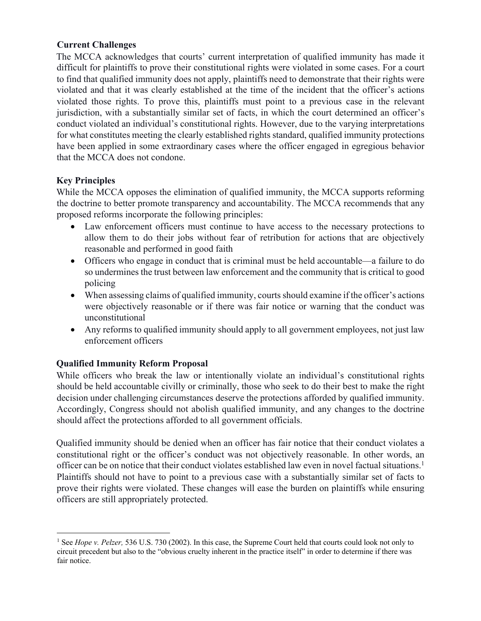## **Current Challenges**

The MCCA acknowledges that courts' current interpretation of qualified immunity has made it difficult for plaintiffs to prove their constitutional rights were violated in some cases. For a court to find that qualified immunity does not apply, plaintiffs need to demonstrate that their rights were violated and that it was clearly established at the time of the incident that the officer's actions violated those rights. To prove this, plaintiffs must point to a previous case in the relevant jurisdiction, with a substantially similar set of facts, in which the court determined an officer's conduct violated an individual's constitutional rights. However, due to the varying interpretations for what constitutes meeting the clearly established rights standard, qualified immunity protections have been applied in some extraordinary cases where the officer engaged in egregious behavior that the MCCA does not condone.

# **Key Principles**

While the MCCA opposes the elimination of qualified immunity, the MCCA supports reforming the doctrine to better promote transparency and accountability. The MCCA recommends that any proposed reforms incorporate the following principles:

- Law enforcement officers must continue to have access to the necessary protections to allow them to do their jobs without fear of retribution for actions that are objectively reasonable and performed in good faith
- Officers who engage in conduct that is criminal must be held accountable—a failure to do so undermines the trust between law enforcement and the community that is critical to good policing
- When assessing claims of qualified immunity, courts should examine if the officer's actions were objectively reasonable or if there was fair notice or warning that the conduct was unconstitutional
- Any reforms to qualified immunity should apply to all government employees, not just law enforcement officers

# **Qualified Immunity Reform Proposal**

While officers who break the law or intentionally violate an individual's constitutional rights should be held accountable civilly or criminally, those who seek to do their best to make the right decision under challenging circumstances deserve the protections afforded by qualified immunity. Accordingly, Congress should not abolish qualified immunity, and any changes to the doctrine should affect the protections afforded to all government officials.

Qualified immunity should be denied when an officer has fair notice that their conduct violates a constitutional right or the officer's conduct was not objectively reasonable. In other words, an officer can be on notice that their conduct violates established law even in novel factual situations.1 Plaintiffs should not have to point to a previous case with a substantially similar set of facts to prove their rights were violated. These changes will ease the burden on plaintiffs while ensuring officers are still appropriately protected.

<sup>&</sup>lt;sup>1</sup> See *Hope v. Pelzer*, 536 U.S. 730 (2002). In this case, the Supreme Court held that courts could look not only to circuit precedent but also to the "obvious cruelty inherent in the practice itself" in order to determine if there was fair notice.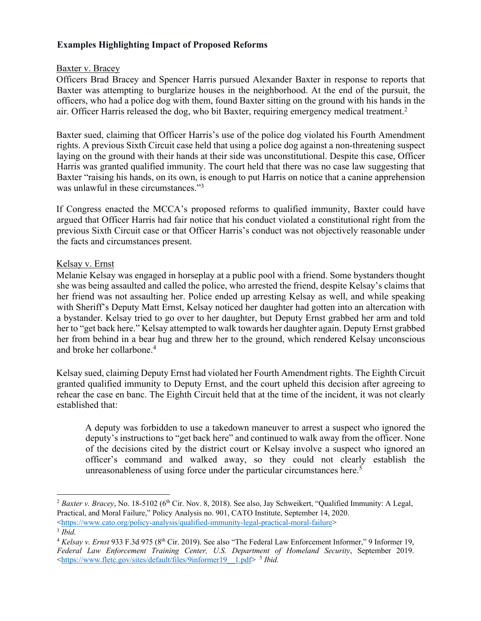## **Examples Highlighting Impact of Proposed Reforms**

### Baxter v. Bracey

Officers Brad Bracey and Spencer Harris pursued Alexander Baxter in response to reports that Baxter was attempting to burglarize houses in the neighborhood. At the end of the pursuit, the officers, who had a police dog with them, found Baxter sitting on the ground with his hands in the air. Officer Harris released the dog, who bit Baxter, requiring emergency medical treatment.<sup>2</sup>

Baxter sued, claiming that Officer Harris's use of the police dog violated his Fourth Amendment rights. A previous Sixth Circuit case held that using a police dog against a non-threatening suspect laying on the ground with their hands at their side was unconstitutional. Despite this case, Officer Harris was granted qualified immunity. The court held that there was no case law suggesting that Baxter "raising his hands, on its own, is enough to put Harris on notice that a canine apprehension was unlawful in these circumstances."<sup>3</sup>

If Congress enacted the MCCA's proposed reforms to qualified immunity, Baxter could have argued that Officer Harris had fair notice that his conduct violated a constitutional right from the previous Sixth Circuit case or that Officer Harris's conduct was not objectively reasonable under the facts and circumstances present.

### Kelsay v. Ernst

Melanie Kelsay was engaged in horseplay at a public pool with a friend. Some bystanders thought she was being assaulted and called the police, who arrested the friend, despite Kelsay's claims that her friend was not assaulting her. Police ended up arresting Kelsay as well, and while speaking with Sheriff's Deputy Matt Ernst, Kelsay noticed her daughter had gotten into an altercation with a bystander. Kelsay tried to go over to her daughter, but Deputy Ernst grabbed her arm and told her to "get back here." Kelsay attempted to walk towards her daughter again. Deputy Ernst grabbed her from behind in a bear hug and threw her to the ground, which rendered Kelsay unconscious and broke her collarbone.4

Kelsay sued, claiming Deputy Ernst had violated her Fourth Amendment rights. The Eighth Circuit granted qualified immunity to Deputy Ernst, and the court upheld this decision after agreeing to rehear the case en banc. The Eighth Circuit held that at the time of the incident, it was not clearly established that:

A deputy was forbidden to use a takedown maneuver to arrest a suspect who ignored the deputy's instructions to "get back here" and continued to walk away from the officer. None of the decisions cited by the district court or Kelsay involve a suspect who ignored an officer's command and walked away, so they could not clearly establish the unreasonableness of using force under the particular circumstances here.<sup>5</sup>

<https://www.cato.org/policy-analysis/qualified-immunity-legal-practical-moral-failure> 3 *Ibid.* 

 $2$  *Baxter v. Bracey*, No. 18-5102 ( $6<sup>th</sup>$  Cir. Nov. 8, 2018). See also, Jay Schweikert, "Qualified Immunity: A Legal, Practical, and Moral Failure," Policy Analysis no. 901, CATO Institute, September 14, 2020.

<sup>4</sup> *Kelsay v. Ernst* 933 F.3d 975 (8th Cir. 2019). See also "The Federal Law Enforcement Informer," 9 Informer 19, *Federal Law Enforcement Training Center, U.S. Department of Homeland Security*, September 2019. <https://www.fletc.gov/sites/default/files/9informer19\_\_1.pdf> 5 *Ibid.*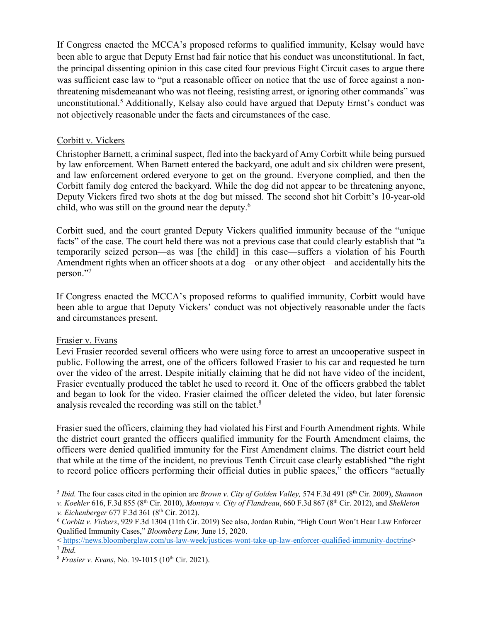If Congress enacted the MCCA's proposed reforms to qualified immunity, Kelsay would have been able to argue that Deputy Ernst had fair notice that his conduct was unconstitutional. In fact, the principal dissenting opinion in this case cited four previous Eight Circuit cases to argue there was sufficient case law to "put a reasonable officer on notice that the use of force against a nonthreatening misdemeanant who was not fleeing, resisting arrest, or ignoring other commands" was unconstitutional.5 Additionally, Kelsay also could have argued that Deputy Ernst's conduct was not objectively reasonable under the facts and circumstances of the case.

### Corbitt v. Vickers

Christopher Barnett, a criminal suspect, fled into the backyard of Amy Corbitt while being pursued by law enforcement. When Barnett entered the backyard, one adult and six children were present, and law enforcement ordered everyone to get on the ground. Everyone complied, and then the Corbitt family dog entered the backyard. While the dog did not appear to be threatening anyone, Deputy Vickers fired two shots at the dog but missed. The second shot hit Corbitt's 10-year-old child, who was still on the ground near the deputy.6

Corbitt sued, and the court granted Deputy Vickers qualified immunity because of the "unique facts" of the case. The court held there was not a previous case that could clearly establish that "a temporarily seized person—as was [the child] in this case—suffers a violation of his Fourth Amendment rights when an officer shoots at a dog—or any other object—and accidentally hits the person."7

If Congress enacted the MCCA's proposed reforms to qualified immunity, Corbitt would have been able to argue that Deputy Vickers' conduct was not objectively reasonable under the facts and circumstances present.

### Frasier v. Evans

Levi Frasier recorded several officers who were using force to arrest an uncooperative suspect in public. Following the arrest, one of the officers followed Frasier to his car and requested he turn over the video of the arrest. Despite initially claiming that he did not have video of the incident, Frasier eventually produced the tablet he used to record it. One of the officers grabbed the tablet and began to look for the video. Frasier claimed the officer deleted the video, but later forensic analysis revealed the recording was still on the tablet.8

Frasier sued the officers, claiming they had violated his First and Fourth Amendment rights. While the district court granted the officers qualified immunity for the Fourth Amendment claims, the officers were denied qualified immunity for the First Amendment claims. The district court held that while at the time of the incident, no previous Tenth Circuit case clearly established "the right to record police officers performing their official duties in public spaces," the officers "actually

<sup>5</sup> *Ibid.* The four cases cited in the opinion are *Brown v. City of Golden Valley,* 574 F.3d 491 (8th Cir. 2009), *Shannon* 

*v. Koehler* 616, F.3d 855 (8th Cir. 2010), *Montoya v. City of Flandreau*, 660 F.3d 867 (8th Cir. 2012), and *Shekleton v. Eichenberger* 677 F.3d 361 (8<sup>th</sup> Cir. 2012).<br><sup>6</sup> *Corbitt v. Vickers*, 929 F.3d 1304 (11th Cir. 2019) See also, Jordan Rubin, "High Court Won't Hear Law Enforcer

Qualified Immunity Cases," *Bloomberg Law,* June 15, 2020.

<sup>&</sup>lt; https://news.bloomberglaw.com/us-law-week/justices-wont-take-up-law-enforcer-qualified-immunity-doctrine> 7 *Ibid.*

<sup>&</sup>lt;sup>8</sup> *Frasier v. Evans*, No. 19-1015 (10<sup>th</sup> Cir. 2021).